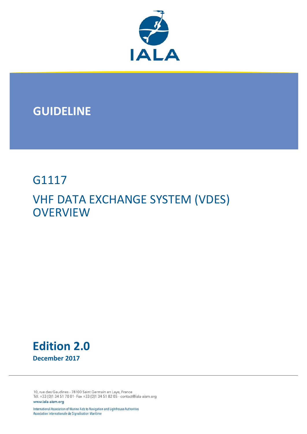

## **GUIDELINE**

## G1117 VHF DATA EXCHANGE SYSTEM (VDES) **OVERVIEW**



10, rue des Gaudines - 78100 Saint Germain en Laye, France Tél. +33 (0)1 34 51 70 01- Fax +33 (0)1 34 51 82 05 - contact@iala-aism.org www.iala-aism.org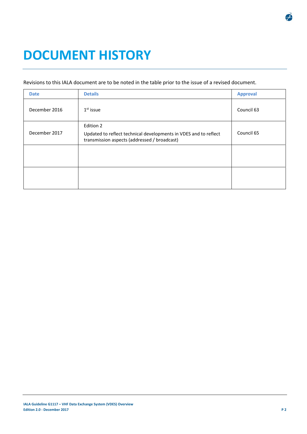# **DOCUMENT HISTORY**

#### Revisions to this IALA document are to be noted in the table prior to the issue of a revised document.

| <b>Date</b>   | <b>Details</b>                                                                                                                | <b>Approval</b> |
|---------------|-------------------------------------------------------------------------------------------------------------------------------|-----------------|
| December 2016 | $1st$ issue                                                                                                                   | Council 63      |
| December 2017 | Edition 2<br>Updated to reflect technical developments in VDES and to reflect<br>transmission aspects (addressed / broadcast) | Council 65      |
|               |                                                                                                                               |                 |
|               |                                                                                                                               |                 |

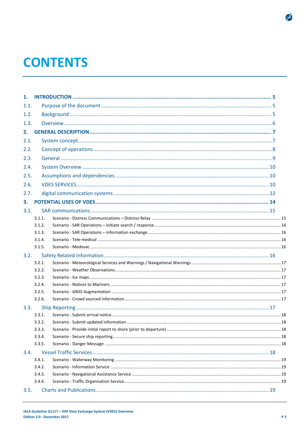# **CONTENTS**

| 1.   |        |  |
|------|--------|--|
| 1.1. |        |  |
| 1.2. |        |  |
| 1.3. |        |  |
| 2.   |        |  |
| 2.1. |        |  |
| 2.2. |        |  |
|      |        |  |
| 2.3. |        |  |
| 2.4. |        |  |
| 2.5. |        |  |
| 2.6. |        |  |
| 2.7. |        |  |
| З.   |        |  |
| 3.1. |        |  |
|      | 3.1.1. |  |
|      | 3.1.2. |  |
|      | 3.1.3. |  |
|      | 3.1.4. |  |
|      | 3.1.5. |  |
| 3.2. |        |  |
|      | 3.2.1. |  |
|      | 3.2.2. |  |
|      | 3.2.3. |  |
|      | 3.2.4. |  |
|      | 3.2.5. |  |
|      | 3.2.6. |  |
| 3.3. |        |  |
|      | 3.3.1. |  |
|      | 3.3.2. |  |
|      | 3.3.3. |  |
|      | 3.3.4. |  |
|      | 3.3.5. |  |
| 3.4. |        |  |
|      | 3.4.1. |  |
|      | 3.4.2. |  |
|      | 3.4.3. |  |
|      | 3.4.4. |  |
| 3.5. |        |  |

 $\mathcal{F}$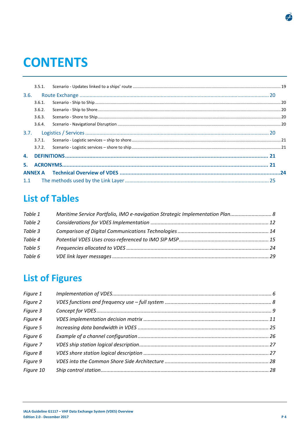# **CONTENTS**

| 3.6. |        |  |
|------|--------|--|
|      | 3.6.1. |  |
|      | 3.6.2. |  |
|      | 3.6.3. |  |
|      | 3.6.4. |  |
|      |        |  |
|      | 3.7.1. |  |
|      |        |  |
|      |        |  |
|      |        |  |
|      |        |  |
|      |        |  |

## **List of Tables**

| Table 1 | Maritime Service Portfolio, IMO e-navigation Strategic Implementation Plan 8 |  |
|---------|------------------------------------------------------------------------------|--|
| Table 2 |                                                                              |  |
| Table 3 |                                                                              |  |
| Table 4 |                                                                              |  |
| Table 5 |                                                                              |  |
| Table 6 |                                                                              |  |

## **List of Figures**

| Figure 1  |  |
|-----------|--|
| Figure 2  |  |
| Figure 3  |  |
| Figure 4  |  |
| Figure 5  |  |
| Figure 6  |  |
| Figure 7  |  |
| Figure 8  |  |
| Figure 9  |  |
| Figure 10 |  |
|           |  |

 $\mathcal{F}$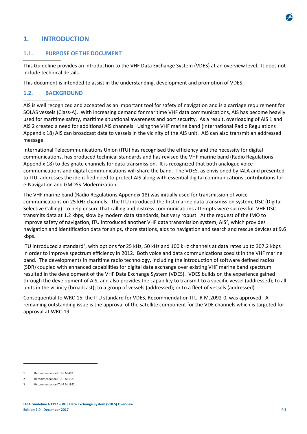## **1. INTRODUCTION**

#### **1.1. PURPOSE OF THE DOCUMENT**

This Guideline provides an introduction to the VHF Data Exchange System (VDES) at an overview level. It does not include technical details.

This document is intended to assist in the understanding, development and promotion of VDES.

#### **1.2. BACKGROUND**

AIS is well recognized and accepted as an important tool for safety of navigation and is a carriage requirement for SOLAS vessels (Class‐A). With increasing demand for maritime VHF data communications, AIS has become heavily used for maritime safety, maritime situational awareness and port security. As a result, overloading of AIS 1 and AIS 2 created a need for additional AIS channels. Using the VHF marine band (International Radio Regulations Appendix 18) AIS can broadcast data to vessels in the vicinity of the AIS unit. AIS can also transmit an addressed message.

International Telecommunications Union (ITU) has recognised the efficiency and the necessity for digital communications, has produced technical standards and has revised the VHF marine band (Radio Regulations Appendix 18) to designate channels for data transmission. It is recognized that both analogue voice communications and digital communications will share the band. The VDES, as envisioned by IALA and presented to ITU, addresses the identified need to protect AIS along with essential digital communications contributions for e‐Navigation and GMDSS Modernization.

The VHF marine band (Radio Regulations Appendix 18) was initially used for transmission of voice communications on 25 kHz channels. The ITU introduced the first marine data transmission system, DSC (Digital Selective Calling)<sup>1</sup> to help ensure that calling and distress communications attempts were successful. VHF DSC transmits data at 1.2 kbps, slow by modern data standards, but very robust. At the request of the IMO to improve safety of navigation, ITU introduced another VHF data transmission system, AIS<sup>2</sup>, which provides navigation and identification data for ships, shore stations, aids to navigation and search and rescue devices at 9.6 kbps.

ITU introduced a standard<sup>3</sup>, with options for 25 kHz, 50 kHz and 100 kHz channels at data rates up to 307.2 kbps in order to improve spectrum efficiency in 2012. Both voice and data communications coexist in the VHF marine band. The developments in maritime radio technology, including the introduction of software defined radios (SDR) coupled with enhanced capabilities for digital data exchange over existing VHF marine band spectrum resulted in the development of the VHF Data Exchange System (VDES). VDES builds on the experience gained through the development of AIS, and also provides the capability to transmit to a specific vessel (addressed); to all units in the vicinity (broadcast); to a group of vessels (addressed); or to a fleet of vessels (addressed).

Consequential to WRC‐15, the ITU standard for VDES, Recommendation ITU‐R M.2092‐0, was approved. A remaining outstanding issue is the approval of the satellite component for the VDE channels which is targeted for approval at WRC‐19.

Recommendation ITU-R M.493

Recommendation ITU-R M.1371

Recommendation ITU-R M.1842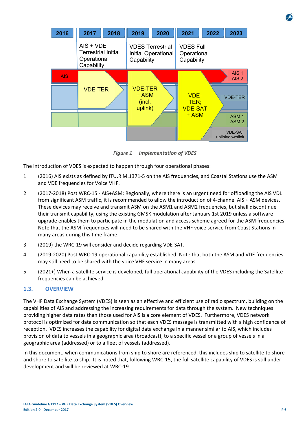

*Figure 1 Implementation of VDES* 

The introduction of VDES is expected to happen through four operational phases:

- 1 (2016) AIS exists as defined by ITU.R M.1371‐5 on the AIS frequencies, and Coastal Stations use the ASM and VDE frequencies for Voice VHF.
- 2 (2017-2018) Post WRC-15 AIS+ASM: Regionally, where there is an urgent need for offloading the AIS VDL from significant ASM traffic, it is recommended to allow the introduction of 4‐channel AIS + ASM devices. These devices may receive and transmit ASM on the ASM1 and ASM2 frequencies, but shall discontinue their transmit capability, using the existing GMSK modulation after January 1st 2019 unless a software upgrade enables them to participate in the modulation and access scheme agreed for the ASM frequencies. Note that the ASM frequencies will need to be shared with the VHF voice service from Coast Stations in many areas during this time frame.
- 3 (2019) the WRC‐19 will consider and decide regarding VDE‐SAT.
- 4 (2019‐2020) Post WRC‐19 operational capability established. Note that both the ASM and VDE frequencies may still need to be shared with the voice VHF service in many areas.
- 5 (2021+) When a satellite service is developed, full operational capability of the VDES including the Satellite frequencies can be achieved.

## **1.3. OVERVIEW**

The VHF Data Exchange System (VDES) is seen as an effective and efficient use of radio spectrum, building on the capabilities of AIS and addressing the increasing requirements for data through the system. New techniques providing higher data rates than those used for AIS is a core element of VDES. Furthermore, VDES network protocol is optimized for data communication so that each VDES message is transmitted with a high confidence of reception. VDES increases the capability for digital data exchange in a manner similar to AIS, which includes provision of data to vessels in a geographic area (broadcast), to a specific vessel or a group of vessels in a geographic area (addressed) or to a fleet of vessels (addressed).

In this document, when communications from ship to shore are referenced, this includes ship to satellite to shore and shore to satellite to ship. It is noted that, following WRC‐15, the full satellite capability of VDES is still under development and will be reviewed at WRC‐19.

**IALA Guideline G1117 – VHF Data Exchange System (VDES) Overview Edition 2.0 ‐ December 2017 P 6**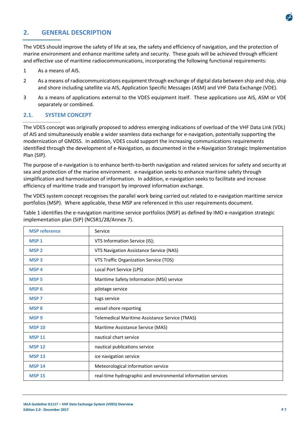

## **2. GENERAL DESCRIPTION**

The VDES should improve the safety of life at sea, the safety and efficiency of navigation, and the protection of marine environment and enhance maritime safety and security. These goals will be achieved through efficient and effective use of maritime radiocommunications, incorporating the following functional requirements:

- 1 As a means of AIS.
- 2 As a means of radiocommunications equipment through exchange of digital data between ship and ship, ship and shore including satellite via AIS, Application Specific Messages (ASM) and VHF Data Exchange (VDE).
- 3 As a means of applications external to the VDES equipment itself. These applications use AIS, ASM or VDE separately or combined.

#### **2.1. SYSTEM CONCEPT**

The VDES concept was originally proposed to address emerging indications of overload of the VHF Data Link (VDL) of AIS and simultaneously enable a wider seamless data exchange for e‐navigation, potentially supporting the modernization of GMDSS. In addition, VDES could support the increasing communications requirements identified through the development of e‐Navigation, as documented in the e‐Navigation Strategic Implementation Plan (SIP).

The purpose of e-navigation is to enhance berth-to-berth navigation and related services for safety and security at sea and protection of the marine environment. e-navigation seeks to enhance maritime safety through simplification and harmonization of information. In addition, e‐navigation seeks to facilitate and increase efficiency of maritime trade and transport by improved information exchange.

The VDES system concept recognises the parallel work being carried out related to e‐navigation maritime service portfolios (MSP). Where applicable, these MSP are referenced in this user requirements document.

Table 1 identifies the e‐navigation maritime service portfolios (MSP) as defined by IMO e‐navigation strategic implementation plan (SIP) (NCSR1/28/Annex 7).

| <b>MSP</b> reference   | Service                                                       |
|------------------------|---------------------------------------------------------------|
| <b>MSP1</b>            | VTS Information Service (IS);                                 |
| <b>MSP<sub>2</sub></b> | VTS Navigation Assistance Service (NAS)                       |
| <b>MSP3</b>            | VTS Traffic Organization Service (TOS)                        |
| MSP <sub>4</sub>       | Local Port Service (LPS)                                      |
| <b>MSP<sub>5</sub></b> | Maritime Safety Information (MSI) service                     |
| MSP <sub>6</sub>       | pilotage service                                              |
| <b>MSP 7</b>           | tugs service                                                  |
| <b>MSP8</b>            | vessel shore reporting                                        |
| MSP <sub>9</sub>       | Telemedical Maritime Assistance Service (TMAS)                |
| <b>MSP 10</b>          | Maritime Assistance Service (MAS)                             |
| <b>MSP 11</b>          | nautical chart service                                        |
| <b>MSP 12</b>          | nautical publications service                                 |
| <b>MSP 13</b>          | ice navigation service                                        |
| <b>MSP 14</b>          | Meteorological information service                            |
| <b>MSP 15</b>          | real-time hydrographic and environmental information services |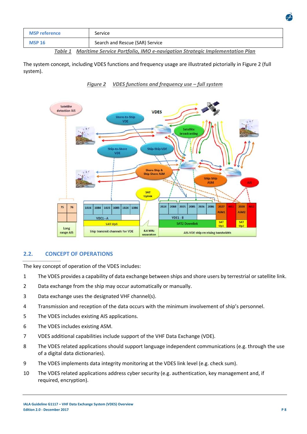| <b>MSP reference</b> | Service                         |
|----------------------|---------------------------------|
| <b>MSP 16</b>        | Search and Rescue (SAR) Service |
|                      | .                               |

*Table 1 Maritime Service Portfolio, IMO e‐navigation Strategic Implementation Plan* 

The system concept, including VDES functions and frequency usage are illustrated pictorially in Figure 2 (full system).



*Figure 2 VDES functions and frequency use – full system* 

## **2.2. CONCEPT OF OPERATIONS**

The key concept of operation of the VDES includes:

- 1 The VDES provides a capability of data exchange between ships and shore users by terrestrial or satellite link.
- 2 Data exchange from the ship may occur automatically or manually.
- 3 Data exchange uses the designated VHF channel(s).
- 4 Transmission and reception of the data occurs with the minimum involvement of ship's personnel.
- 5 The VDES includes existing AIS applications.
- 6 The VDES includes existing ASM.
- 7 VDES additional capabilities include support of the VHF Data Exchange (VDE).
- 8 The VDES related applications should support language independent communications (e.g. through the use of a digital data dictionaries).
- 9 The VDES implements data integrity monitoring at the VDES link level (e.g. check sum).
- 10 The VDES related applications address cyber security (e.g. authentication, key management and, if required, encryption).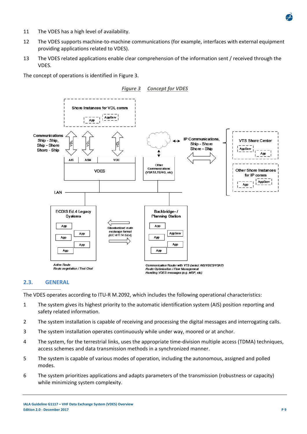

- 11 The VDES has a high level of availability.
- 12 The VDES supports machine-to-machine communications (for example, interfaces with external equipment providing applications related to VDES).
- 13 The VDES related applications enable clear comprehension of the information sent / received through the VDES.

The concept of operations is identified in Figure 3.



#### **2.3. GENERAL**

The VDES operates according to ITU‐R M.2092, which includes the following operational characteristics:

- 1 The system gives its highest priority to the automatic identification system (AIS) position reporting and safety related information.
- 2 The system installation is capable of receiving and processing the digital messages and interrogating calls.
- 3 The system installation operates continuously while under way, moored or at anchor.
- 4 The system, for the terrestrial links, uses the appropriate time‐division multiple access (TDMA) techniques, access schemes and data transmission methods in a synchronized manner.
- 5 The system is capable of various modes of operation, including the autonomous, assigned and polled modes.
- 6 The system prioritizes applications and adapts parameters of the transmission (robustness or capacity) while minimizing system complexity.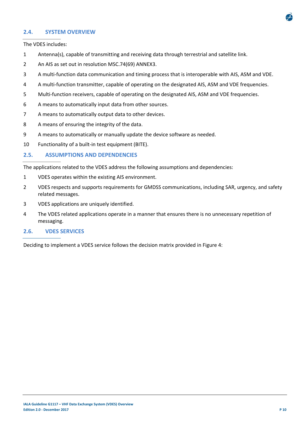

#### **2.4. SYSTEM OVERVIEW**

The VDES includes:

- 1 Antenna(s), capable of transmitting and receiving data through terrestrial and satellite link.
- 2 An AIS as set out in resolution MSC.74(69) ANNEX3.
- 3 A multi-function data communication and timing process that is interoperable with AIS, ASM and VDE.
- 4 A multi-function transmitter, capable of operating on the designated AIS, ASM and VDE frequencies.
- 5 Multi-function receivers, capable of operating on the designated AIS, ASM and VDE frequencies.
- 6 A means to automatically input data from other sources.
- 7 A means to automatically output data to other devices.
- 8 A means of ensuring the integrity of the data.
- 9 A means to automatically or manually update the device software as needed.
- 10 Functionality of a built-in test equipment (BITE).

#### **2.5. ASSUMPTIONS AND DEPENDENCIES**

The applications related to the VDES address the following assumptions and dependencies:

- 1 VDES operates within the existing AIS environment.
- 2 VDES respects and supports requirements for GMDSS communications, including SAR, urgency, and safety related messages.
- 3 VDES applications are uniquely identified.
- 4 The VDES related applications operate in a manner that ensures there is no unnecessary repetition of messaging.

#### **2.6. VDES SERVICES**

Deciding to implement a VDES service follows the decision matrix provided in Figure 4: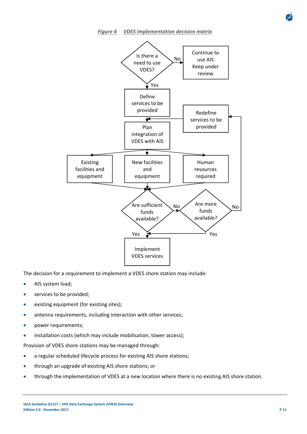#### *Figure 4 VDES implementation decision matrix*



The decision for a requirement to implement a VDES shore station may include:

- AIS system load;
- **•** services to be provided;
- existing equipment (for existing sites);
- antenna requirements, including interaction with other services;
- power requirements;
- installation costs (which may include mobilisation, tower access);

Provision of VDES shore stations may be managed through:

- a regular scheduled lifecycle process for existing AIS shore stations;
- through an upgrade of existing AIS shore stations; or
- through the implementation of VDES at a new location where there is no existing AIS shore station.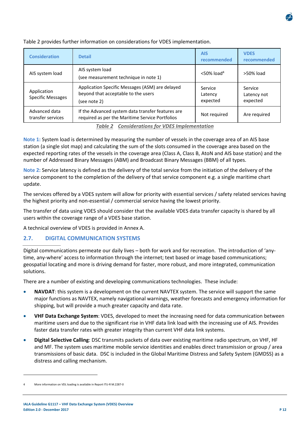

Table 2 provides further information on considerations for VDES implementation.

*Table 2 Considerations for VDES Implementation* 

**Note 1:** System load is determined by measuring the number of vessels in the coverage area of an AIS base station (a single slot map) and calculating the sum of the slots consumed in the coverage area based on the expected reporting rates of the vessels in the coverage area (Class A, Class B, AtoN and AIS base station) and the number of Addressed Binary Messages (ABM) and Broadcast Binary Messages (BBM) of all types.

**Note 2:** Service latency is defined as the delivery of the total service from the initiation of the delivery of the service component to the completion of the delivery of that service component e.g. a single maritime chart update.

The services offered by a VDES system will allow for priority with essential services / safety related services having the highest priority and non‐essential / commercial service having the lowest priority.

The transfer of data using VDES should consider that the available VDES data transfer capacity is shared by all users within the coverage range of a VDES base station.

A technical overview of VDES is provided in Annex A.

## **2.7. DIGITAL COMMUNICATION SYSTEMS**

Digital communications permeate our daily lives – both for work and for recreation. The introduction of 'any‐ time, any-where' access to information through the internet; text based or image based communications; geospatial locating and more is driving demand for faster, more robust, and more integrated, communication solutions.

There are a number of existing and developing communications technologies. These include:

- **NAVDAT**: this system is a development on the current NAVTEX system. The service will support the same major functions as NAVTEX, namely navigational warnings, weather forecasts and emergency information for shipping, but will provide a much greater capacity and data rate.
- **VHF Data Exchange System**: VDES, developed to meet the increasing need for data communication between maritime users and due to the significant rise in VHF data link load with the increasing use of AIS. Provides faster data transfer rates with greater integrity than current VHF data link systems.
- **Digital Selective Calling**: DSC transmits packets of data over existing maritime radio spectrum, on VHF, HF and MF. The system uses maritime mobile service identities and enables direct transmission or group / area transmissions of basic data. DSC is included in the Global Maritime Distress and Safety System (GMDSS) as a distress and calling mechanism.

More information on VDL loading is available in Report ITU-R M.2287-0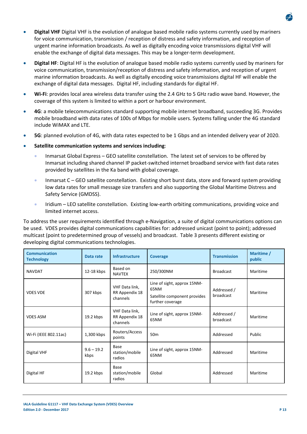- **Digital VHF** Digital VHF is the evolution of analogue based mobile radio systems currently used by mariners for voice communication, transmission / reception of distress and safety information, and reception of urgent marine information broadcasts. As well as digitally encoding voice transmissions digital VHF will enable the exchange of digital data messages. This may be a longer-term development.
- **Digital HF**: Digital HF is the evolution of analogue based mobile radio systems currently used by mariners for voice communication, transmission/reception of distress and safety information, and reception of urgent marine information broadcasts. As well as digitally encoding voice transmissions digital HF will enable the exchange of digital data messages. Digital HF, including standards for digital HF.
- **Wi‐Fi**: provides local area wireless data transfer using the 2.4 GHz to 5 GHz radio wave band. However, the coverage of this system is limited to within a port or harbour environment.
- **4G**: a mobile telecommunications standard supporting mobile internet broadband, succeeding 3G. Provides mobile broadband with data rates of 100s of Mbps for mobile users. Systems falling under the 4G standard include WiMAX and LTE.
- **5G**: planned evolution of 4G, with data rates expected to be 1 Gbps and an intended delivery year of 2020.
- **Satellite communication systems and services including**:
	- Inmarsat Global Express GEO satellite constellation. The latest set of services to be offered by Inmarsat including shared channel IP packet‐switched internet broadband service with fast data rates provided by satellites in the Ka band with global coverage.
	- Inmarsat C GEO satellite constellation. Existing short burst data, store and forward system providing low data rates for small message size transfers and also supporting the Global Maritime Distress and Safety Service (GMDSS).
	- Iridium LEO satellite constellation. Existing low-earth orbiting communications, providing voice and limited internet access.

To address the user requirements identified through e‐Navigation, a suite of digital communications options can be used. VDES provides digital communications capabilities for: addressed unicast (point to point); addressed multicast (point to predetermined group of vessels) and broadcast. Table 3 presents different existing or developing digital communications technologies.

| <b>Communication</b><br><b>Technology</b> | Data rate            | <b>Infrastructure</b>                        | <b>Coverage</b>                                                                         | <b>Transmission</b>      | Maritime /<br>public |
|-------------------------------------------|----------------------|----------------------------------------------|-----------------------------------------------------------------------------------------|--------------------------|----------------------|
| <b>NAVDAT</b>                             | 12-18 kbps           | Based on<br><b>NAVTEX</b>                    | 250/300NM                                                                               | <b>Broadcast</b>         | Maritime             |
| <b>VDES VDE</b>                           | 307 kbps             | VHF Data link,<br>RR Appendix 18<br>channels | Line of sight, approx 15NM-<br>65NM<br>Satellite component provides<br>further coverage | Addressed /<br>broadcast | Maritime             |
| <b>VDES ASM</b>                           | 19.2 kbps            | VHF Data link,<br>RR Appendix 18<br>channels | Line of sight, approx 15NM-<br>65NM                                                     | Addressed /<br>broadcast | Maritime             |
| Wi-Fi (IEEE 802.11ac)                     | 1,300 kbps           | Routers/Access<br>points                     | 50 <sub>m</sub>                                                                         | Addressed                | Public               |
| Digital VHF                               | $9.6 - 19.2$<br>kbps | Base<br>station/mobile<br>radios             | Line of sight, approx 15NM-<br>65NM                                                     | Addressed                | Maritime             |
| Digital HF                                | 19.2 kbps            | Base<br>station/mobile<br>radios             | Global                                                                                  | Addressed                | Maritime             |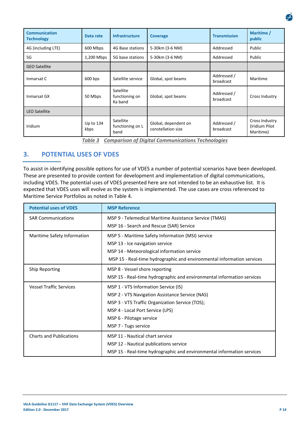| <b>Communication</b><br><b>Technology</b> | Data rate         | Infrastructure                         | <b>Coverage</b>                            | <b>Transmission</b>      | Maritime /<br>public                          |
|-------------------------------------------|-------------------|----------------------------------------|--------------------------------------------|--------------------------|-----------------------------------------------|
| 4G (including LTE)                        | 600 Mbps          | 4G Base stations                       | 5-30km (3-6 NM)                            | Addressed                | Public                                        |
| 5G                                        | 1,200 Mbps        | 5G base stations                       | 5-30km (3-6 NM)                            | Addressed                | Public                                        |
| <b>GEO Satellite</b>                      |                   |                                        |                                            |                          |                                               |
| Inmarsat C                                | 600 bps           | Satellite service                      | Global, spot beams                         | Addressed /<br>broadcast | Maritime                                      |
| Inmarsat GX                               | 50 Mbps           | Satellite<br>functioning on<br>Ka band | Global, spot beams                         | Addressed /<br>broadcast | Cross Industry                                |
| <b>LEO Satellite</b>                      |                   |                                        |                                            |                          |                                               |
| Iridium                                   | Up to 134<br>kbps | Satellite<br>functioning on L<br>band  | Global, dependent on<br>constellation size | Addressed /<br>broadcast | Cross Industry<br>(Iridium Pilot<br>Maritime) |

*Table 3 Comparison of Digital Communications Technologies* 

## **3. POTENTIAL USES OF VDES**

To assist in identifying possible options for use of VDES a number of potential scenarios have been developed. These are presented to provide context for development and implementation of digital communications, including VDES. The potential uses of VDES presented here are not intended to be an exhaustive list. It is expected that VDES uses will evolve as the system is implemented. The use cases are cross referenced to Maritime Service Portfolios as noted in Table 4.

| <b>Potential uses of VDES</b>  | <b>MSP Reference</b>                                                                                                                                                                                                               |  |  |
|--------------------------------|------------------------------------------------------------------------------------------------------------------------------------------------------------------------------------------------------------------------------------|--|--|
| <b>SAR Communications</b>      | MSP 9 - Telemedical Maritime Assistance Service (TMAS)<br>MSP 16 - Search and Rescue (SAR) Service                                                                                                                                 |  |  |
| Maritime Safety Information    | MSP 5 - Maritime Safety Information (MSI) service<br>MSP 13 - Ice navigation service<br>MSP 14 - Meteorological information service<br>MSP 15 - Real-time hydrographic and environmental information services                      |  |  |
| <b>Ship Reporting</b>          | MSP 8 - Vessel shore reporting<br>MSP 15 - Real-time hydrographic and environmental information services                                                                                                                           |  |  |
| <b>Vessel Traffic Services</b> | MSP 1 - VTS Information Service (IS)<br>MSP 2 - VTS Navigation Assistance Service (NAS)<br>MSP 3 - VTS Traffic Organization Service (TOS);<br>MSP 4 - Local Port Service (LPS)<br>MSP 6 - Pilotage service<br>MSP 7 - Tugs service |  |  |
| <b>Charts and Publications</b> | MSP 11 - Nautical chart service<br>MSP 12 - Nautical publications service<br>MSP 15 - Real-time hydrographic and environmental information services                                                                                |  |  |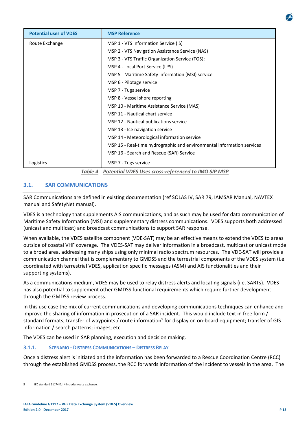| <b>Potential uses of VDES</b> | <b>MSP Reference</b>                                                   |
|-------------------------------|------------------------------------------------------------------------|
| Route Exchange                | MSP 1 - VTS Information Service (IS)                                   |
|                               | MSP 2 - VTS Navigation Assistance Service (NAS)                        |
|                               | MSP 3 - VTS Traffic Organization Service (TOS);                        |
|                               | MSP 4 - Local Port Service (LPS)                                       |
|                               | MSP 5 - Maritime Safety Information (MSI) service                      |
|                               | MSP 6 - Pilotage service                                               |
|                               | MSP 7 - Tugs service                                                   |
|                               | MSP 8 - Vessel shore reporting                                         |
|                               | MSP 10 - Maritime Assistance Service (MAS)                             |
|                               | <b>MSP 11 - Nautical chart service</b>                                 |
|                               | MSP 12 - Nautical publications service                                 |
|                               | MSP 13 - Ice navigation service                                        |
|                               | MSP 14 - Meteorological information service                            |
|                               | MSP 15 - Real-time hydrographic and environmental information services |
|                               | MSP 16 - Search and Rescue (SAR) Service                               |
| Logistics                     | MSP 7 - Tugs service                                                   |

*Table 4 Potential VDES Uses cross‐referenced to IMO SIP MSP* 

## **3.1. SAR COMMUNICATIONS**

SAR Communications are defined in existing documentation (ref SOLAS IV, SAR 79, IAMSAR Manual, NAVTEX manual and SafetyNet manual).

VDES is a technology that supplements AIS communications, and as such may be used for data communication of Maritime Safety Information (MSI) and supplementary distress communications. VDES supports both addressed (unicast and multicast) and broadcast communications to support SAR response.

When available, the VDES satellite component (VDE‐SAT) may be an effective means to extend the VDES to areas outside of coastal VHF coverage. The VDES‐SAT may deliver information in a broadcast, multicast or unicast mode to a broad area, addressing many ships using only minimal radio spectrum resources. The VDE‐SAT will provide a communication channel that is complementary to GMDSS and the terrestrial components of the VDES system (i.e. coordinated with terrestrial VDES, application specific messages (ASM) and AIS functionalities and their supporting systems).

As a communications medium, VDES may be used to relay distress alerts and locating signals (i.e. SARTs). VDES has also potential to supplement other GMDSS functional requirements which require further development through the GMDSS review process.

In this use case the mix of current communications and developing communications techniques can enhance and improve the sharing of information in prosecution of a SAR incident. This would include text in free form / standard formats; transfer of waypoints / route information<sup>5</sup> for display on on-board equipment; transfer of GIS information / search patterns; images; etc.

The VDES can be used in SAR planning, execution and decision making.

#### **3.1.1. SCENARIO ‐ DISTRESS COMMUNICATIONS – DISTRESS RELAY**

Once a distress alert is initiated and the information has been forwarded to a Rescue Coordination Centre (RCC) through the established GMDSS process, the RCC forwards information of the incident to vessels in the area. The

IEC standard 61174 Ed. 4 includes route exchange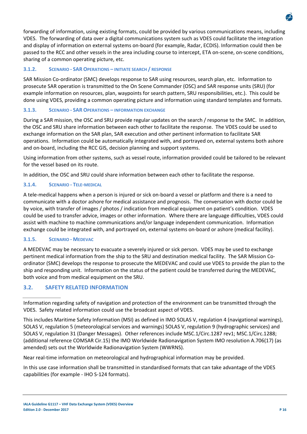forwarding of information, using existing formats, could be provided by various communications means, including VDES. The forwarding of data over a digital communications system such as VDES could facilitate the integration and display of information on external systems on‐board (for example, Radar, ECDIS). Information could then be passed to the RCC and other vessels in the area including course to intercept, ETA on‐scene, on‐scene conditions, sharing of a common operating picture, etc.

## **3.1.2. SCENARIO ‐ SAR OPERATIONS – INITIATE SEARCH / RESPONSE**

SAR Mission Co‐ordinator (SMC) develops response to SAR using resources, search plan, etc. Information to prosecute SAR operation is transmitted to the On Scene Commander (OSC) and SAR response units (SRU) (for example information on resources, plan, waypoints for search pattern, SRU responsibilities, etc.). This could be done using VDES, providing a common operating picture and information using standard templates and formats.

## **3.1.3. SCENARIO ‐ SAR OPERATIONS – INFORMATION EXCHANGE**

During a SAR mission, the OSC and SRU provide regular updates on the search / response to the SMC. In addition, the OSC and SRU share information between each other to facilitate the response. The VDES could be used to exchange information on the SAR plan, SAR execution and other pertinent information to facilitate SAR operations. Information could be automatically integrated with, and portrayed on, external systems both ashore and on‐board, including the RCC GIS, decision planning and support systems.

Using information from other systems, such as vessel route, information provided could be tailored to be relevant for the vessel based on its route.

In addition, the OSC and SRU could share information between each other to facilitate the response.

## **3.1.4. SCENARIO ‐ TELE‐MEDICAL**

A tele‐medical happens when a person is injured or sick on‐board a vessel or platform and there is a need to communicate with a doctor ashore for medical assistance and prognosis. The conversation with doctor could be by voice, with transfer of images / photos / indication from medical equipment on patient's condition. VDES could be used to transfer advice, images or other information. Where there are language difficulties, VDES could assist with machine to machine communications and/or language independent communication. Information exchange could be integrated with, and portrayed on, external systems on-board or ashore (medical facility).

## **3.1.5. SCENARIO ‐ MEDEVAC**

A MEDEVAC may be necessary to evacuate a severely injured or sick person. VDES may be used to exchange pertinent medical information from the ship to the SRU and destination medical facility. The SAR Mission Coordinator (SMC) develops the response to prosecute the MEDEVAC and could use VDES to provide the plan to the ship and responding unit. Information on the status of the patient could be transferred during the MEDEVAC, both voice and from medical equipment on the SRU.

## **3.2. SAFETY RELATED INFORMATION**

Information regarding safety of navigation and protection of the environment can be transmitted through the VDES. Safety related information could use the broadcast aspect of VDES.

This includes Maritime Safety Information (MSI) as defined in IMO SOLAS V, regulation 4 (navigational warnings), SOLAS V, regulation 5 (meteorological services and warnings) SOLAS V, regulation 9 (hydrographic services) and SOLAS V, regulation 31 (Danger Messages). Other references include MSC.1/Circ.1287 rev1; MSC.1/Circ.1288; (additional reference COMSAR Cir.15) the IMO Worldwide Radionavigation System IMO resolution A.706(17) (as amended) sets out the Worldwide Radionavigation System (WWRNS).

Near real-time information on meteorological and hydrographical information may be provided.

In this use case information shall be transmitted in standardised formats that can take advantage of the VDES capabilities (for example ‐ IHO S‐124 formats).

**IALA Guideline G1117 – VHF Data Exchange System (VDES) Overview Edition 2.0 ‐ December 2017 P 16**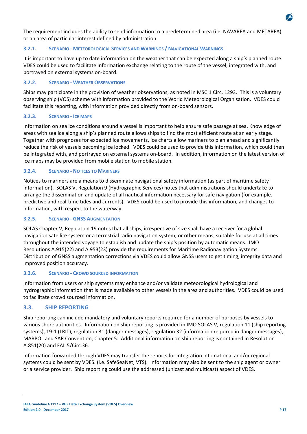

The requirement includes the ability to send information to a predetermined area (i.e. NAVAREA and METAREA) or an area of particular interest defined by administration.

#### **3.2.1. SCENARIO ‐ METEOROLOGICAL SERVICES AND WARNINGS / NAVIGATIONAL WARNINGS**

It is important to have up to date information on the weather that can be expected along a ship's planned route. VDES could be used to facilitate information exchange relating to the route of the vessel, integrated with, and portrayed on external systems on‐board.

#### **3.2.2. SCENARIO ‐ WEATHER OBSERVATIONS**

Ships may participate in the provision of weather observations, as noted in MSC.1 Circ. 1293. This is a voluntary observing ship (VOS) scheme with information provided to the World Meteorological Organisation. VDES could facilitate this reporting, with information provided directly from on-board sensors.

#### **3.2.3. SCENARIO ‐ ICE MAPS**

Information on sea ice conditions around a vessel is important to help ensure safe passage at sea. Knowledge of areas with sea ice along a ship's planned route allows ships to find the most efficient route at an early stage. Together with prognoses for expected ice movements, ice charts allow mariners to plan ahead and significantly reduce the risk of vessels becoming ice locked. VDES could be used to provide this information, which could then be integrated with, and portrayed on external systems on‐board. In addition, information on the latest version of ice maps may be provided from mobile station to mobile station.

#### **3.2.4. SCENARIO ‐ NOTICES TO MARINERS**

Notices to mariners are a means to disseminate navigational safety information (as part of maritime safety information). SOLAS V, Regulation 9 (Hydrographic Services) notes that administrations should undertake to arrange the dissemination and update of all nautical information necessary for safe navigation (for example. predictive and real‐time tides and currents). VDES could be used to provide this information, and changes to information, with respect to the waterway.

#### **3.2.5. SCENARIO ‐ GNSS AUGMENTATION**

SOLAS Chapter V, Regulation 19 notes that all ships, irrespective of size shall have a receiver for a global navigation satellite system or a terrestrial radio navigation system, or other means, suitable for use at all times throughout the intended voyage to establish and update the ship's position by automatic means. IMO Resolutions A.915(22) and A.953(23) provide the requirements for Maritime Radionavigation Systems. Distribution of GNSS augmentation corrections via VDES could allow GNSS users to get timing, integrity data and improved position accuracy.

#### **3.2.6. SCENARIO ‐ CROWD SOURCED INFORMATION**

Information from users or ship systems may enhance and/or validate meteorological hydrological and hydrographic information that is made available to other vessels in the area and authorities. VDES could be used to facilitate crowd sourced information.

#### **3.3. SHIP REPORTING**

Ship reporting can include mandatory and voluntary reports required for a number of purposes by vessels to various shore authorities. Information on ship reporting is provided in IMO SOLAS V, regulation 11 (ship reporting systems), 19‐1 (LRIT), regulation 31 (danger messages), regulation 32 (information required in danger messages), MARPOL and SAR Convention, Chapter 5. Additional information on ship reporting is contained in Resolution A.851(20) and FAL.5/Circ.36.

Information forwarded through VDES may transfer the reports for integration into national and/or regional systems could be sent by VDES. (i.e. SafeSeaNet, VTS). Information may also be sent to the ship agent or owner or a service provider. Ship reporting could use the addressed (unicast and multicast) aspect of VDES.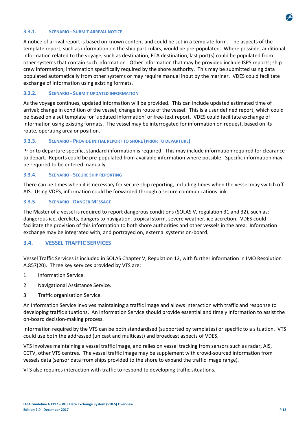

#### **3.3.1. SCENARIO ‐ SUBMIT ARRIVAL NOTICE**

A notice of arrival report is based on known content and could be set in a template form. The aspects of the template report, such as information on the ship particulars, would be pre‐populated. Where possible, additional information related to the voyage, such as destination, ETA destination, last port(s) could be populated from other systems that contain such information. Other information that may be provided include ISPS reports; ship crew information; information specifically required by the shore authority. This may be submitted using data populated automatically from other systems or may require manual input by the mariner. VDES could facilitate exchange of information using existing formats.

#### **3.3.2. SCENARIO ‐ SUBMIT UPDATED INFORMATION**

As the voyage continues, updated information will be provided. This can include updated estimated time of arrival; change in condition of the vessel; change in route of the vessel. This is a user defined report, which could be based on a set template for 'updated information' or free-text report. VDES could facilitate exchange of information using existing formats. The vessel may be interrogated for information on request, based on its route, operating area or position.

#### **3.3.3. SCENARIO ‐ PROVIDE INITIAL REPORT TO SHORE (PRIOR TO DEPARTURE)**

Prior to departure specific, standard information is required. This may include information required for clearance to depart. Reports could be pre‐populated from available information where possible. Specific information may be required to be entered manually.

#### **3.3.4. SCENARIO ‐ SECURE SHIP REPORTING**

There can be times when it is necessary for secure ship reporting, including times when the vessel may switch off AIS. Using VDES, information could be forwarded through a secure communications link.

#### **3.3.5. SCENARIO ‐ DANGER MESSAGE**

The Master of a vessel is required to report dangerous conditions (SOLAS V, regulation 31 and 32), such as: dangerous ice, derelicts, dangers to navigation, tropical storm, severe weather, ice accretion. VDES could facilitate the provision of this information to both shore authorities and other vessels in the area. Information exchange may be integrated with, and portrayed on, external systems on‐board.

#### **3.4. VESSEL TRAFFIC SERVICES**

Vessel Traffic Services is included in SOLAS Chapter V, Regulation 12, with further information in IMO Resolution A.857(20). Three key services provided by VTS are:

- 1 Information Service.
- 2 Navigational Assistance Service.
- 3 Traffic organisation Service.

An Information Service involves maintaining a traffic image and allows interaction with traffic and response to developing traffic situations. An Information Service should provide essential and timely information to assist the on‐board decision‐making process.

Information required by the VTS can be both standardised (supported by templates) or specific to a situation. VTS could use both the addressed (unicast and multicast) and broadcast aspects of VDES.

VTS involves maintaining a vessel traffic image, and relies on vessel tracking from sensors such as radar, AIS, CCTV, other VTS centres. The vessel traffic image may be supplement with crowd‐sourced information from vessels data (sensor data from ships provided to the shore to expand the traffic image range).

VTS also requires interaction with traffic to respond to developing traffic situations.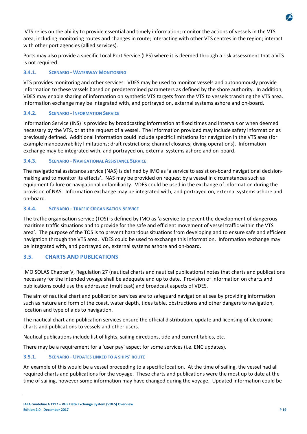VTS relies on the ability to provide essential and timely information; monitor the actions of vessels in the VTS area, including monitoring routes and changes in route; interacting with other VTS centres in the region; interact with other port agencies (allied services).

Ports may also provide a specific Local Port Service (LPS) where it is deemed through a risk assessment that a VTS is not required.

## **3.4.1. SCENARIO ‐ WATERWAY MONITORING**

VTS provides monitoring and other services. VDES may be used to monitor vessels and autonomously provide information to these vessels based on predetermined parameters as defined by the shore authority. In addition, VDES may enable sharing of information on synthetic VTS targets from the VTS to vessels transiting the VTS area. Information exchange may be integrated with, and portrayed on, external systems ashore and on‐board.

## **3.4.2. SCENARIO ‐ INFORMATION SERVICE**

Information Service (INS) is provided by broadcasting information at fixed times and intervals or when deemed necessary by the VTS, or at the request of a vessel. The information provided may include safety information as previously defined. Additional information could include specific limitations for navigation in the VTS area (for example manoeuvrability limitations; draft restrictions; channel closures; diving operations). Information exchange may be integrated with, and portrayed on, external systems ashore and on‐board.

## **3.4.3. SCENARIO ‐ NAVIGATIONAL ASSISTANCE SERVICE**

The navigational assistance service (NAS) is defined by IMO as **'**a service to assist on‐board navigational decision‐ making and to monitor its effects**'.** NAS may be provided on request by a vessel in circumstances such as equipment failure or navigational unfamiliarity. VDES could be used in the exchange of information during the provision of NAS. Information exchange may be integrated with, and portrayed on, external systems ashore and on‐board.

## **3.4.4. SCENARIO ‐ TRAFFIC ORGANISATION SERVICE**

The traffic organisation service (TOS) is defined by IMO as **'**a service to prevent the development of dangerous maritime traffic situations and to provide for the safe and efficient movement of vessel traffic within the VTS area'. The purpose of the TOS is to prevent hazardous situations from developing and to ensure safe and efficient navigation through the VTS area. VDES could be used to exchange this information. Information exchange may be integrated with, and portrayed on, external systems ashore and on‐board.

## **3.5. CHARTS AND PUBLICATIONS**

IMO SOLAS Chapter V, Regulation 27 (nautical charts and nautical publications) notes that charts and publications necessary for the intended voyage shall be adequate and up to date. Provision of information on charts and publications could use the addressed (multicast) and broadcast aspects of VDES.

The aim of nautical chart and publication services are to safeguard navigation at sea by providing information such as nature and form of the coast, water depth, tides table, obstructions and other dangers to navigation, location and type of aids to navigation.

The nautical chart and publication services ensure the official distribution, update and licensing of electronic charts and publications to vessels and other users.

Nautical publications include list of lights, sailing directions, tide and current tables, etc.

There may be a requirement for a 'user pay' aspect for some services (i.e. ENC updates).

## **3.5.1. SCENARIO ‐ UPDATES LINKED TO A SHIPS' ROUTE**

An example of this would be a vessel proceeding to a specific location. At the time of sailing, the vessel had all required charts and publications for the voyage. These charts and publications were the most up to date at the time of sailing, however some information may have changed during the voyage. Updated information could be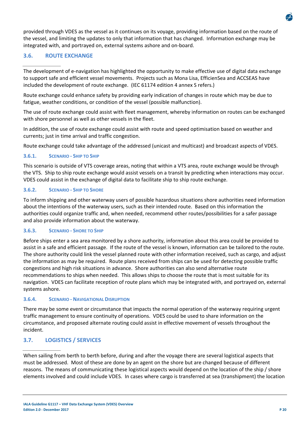provided through VDES as the vessel as it continues on its voyage, providing information based on the route of the vessel, and limiting the updates to only that information that has changed. Information exchange may be integrated with, and portrayed on, external systems ashore and on‐board.

## **3.6. ROUTE EXCHANGE**

The development of e‐navigation has highlighted the opportunity to make effective use of digital data exchange to support safe and efficient vessel movements. Projects such as Mona Lisa, EfficienSea and ACCSEAS have included the development of route exchange. (IEC 61174 edition 4 annex S refers.)

Route exchange could enhance safety by providing early indication of changes in route which may be due to fatigue, weather conditions, or condition of the vessel (possible malfunction).

The use of route exchange could assist with fleet management, whereby information on routes can be exchanged with shore personnel as well as other vessels in the fleet.

In addition, the use of route exchange could assist with route and speed optimisation based on weather and currents; just in time arrival and traffic congestion.

Route exchange could take advantage of the addressed (unicast and multicast) and broadcast aspects of VDES.

## **3.6.1. SCENARIO ‐ SHIP TO SHIP**

This scenario is outside of VTS coverage areas, noting that within a VTS area, route exchange would be through the VTS. Ship to ship route exchange would assist vessels on a transit by predicting when interactions may occur. VDES could assist in the exchange of digital data to facilitate ship to ship route exchange.

#### **3.6.2. SCENARIO ‐ SHIP TO SHORE**

To inform shipping and other waterway users of possible hazardous situations shore authorities need information about the intentions of the waterway users, such as their intended route. Based on this information the authorities could organize traffic and, when needed, recommend other routes/possibilities for a safer passage and also provide information about the waterway.

#### **3.6.3. SCENARIO ‐ SHORE TO SHIP**

Before ships enter a sea area monitored by a shore authority, information about this area could be provided to assist in a safe and efficient passage. If the route of the vessel is known, information can be tailored to the route. The shore authority could link the vessel planned route with other information received, such as cargo, and adjust the information as may be required. Route plans received from ships can be used for detecting possible traffic congestions and high risk situations in advance. Shore authorities can also send alternative route recommendations to ships when needed. This allows ships to choose the route that is most suitable for its navigation. VDES can facilitate reception of route plans which may be integrated with, and portrayed on, external systems ashore.

#### **3.6.4. SCENARIO ‐ NAVIGATIONAL DISRUPTION**

There may be some event or circumstance that impacts the normal operation of the waterway requiring urgent traffic management to ensure continuity of operations. VDES could be used to share information on the circumstance, and proposed alternate routing could assist in effective movement of vessels throughout the incident.

## **3.7. LOGISTICS / SERVICES**

When sailing from berth to berth before, during and after the voyage there are several logistical aspects that must be addressed. Most of these are done by an agent on the shore but are changed because of different reasons. The means of communicating these logistical aspects would depend on the location of the ship / shore elements involved and could include VDES. In cases where cargo is transferred at sea (transhipment) the location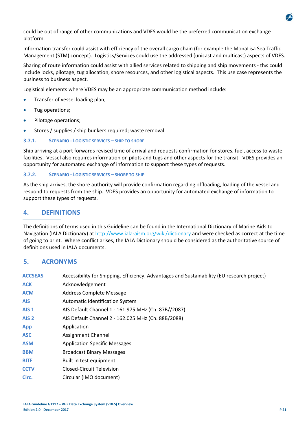

could be out of range of other communications and VDES would be the preferred communication exchange platform.

Information transfer could assist with efficiency of the overall cargo chain (for example the MonaLisa Sea Traffic Management (STM) concept). Logistics/Services could use the addressed (unicast and multicast) aspects of VDES.

Sharing of route information could assist with allied services related to shipping and ship movements ‐ th*i*s could include locks, pilotage, tug allocation, shore resources, and other logistical aspects. This use case represents the business to business aspect.

Logistical elements where VDES may be an appropriate communication method include:

- Transfer of vessel loading plan;
- Tug operations;
- Pilotage operations;
- Stores / supplies / ship bunkers required; waste removal.

#### **3.7.1. SCENARIO ‐ LOGISTIC SERVICES – SHIP TO SHORE**

Ship arriving at a port forwards revised time of arrival and requests confirmation for stores, fuel, access to waste facilities. Vessel also requires information on pilots and tugs and other aspects for the transit. VDES provides an opportunity for automated exchange of information to support these types of requests.

#### **3.7.2. SCENARIO ‐ LOGISTIC SERVICES – SHORE TO SHIP**

As the ship arrives, the shore authority will provide confirmation regarding offloading, loading of the vessel and respond to requests from the ship. VDES provides an opportunity for automated exchange of information to support these types of requests.

## **4. DEFINITIONS**

The definitions of terms used in this Guideline can be found in the International Dictionary of Marine Aids to Navigation (IALA Dictionary) at http://www.iala‐aism.org/wiki/dictionary and were checked as correct at the time of going to print. Where conflict arises, the IALA Dictionary should be considered as the authoritative source of definitions used in IALA documents.

## **5. ACRONYMS**

| <b>ACCSEAS</b>   | Accessibility for Shipping, Efficiency, Advantages and Sustainability (EU research project) |
|------------------|---------------------------------------------------------------------------------------------|
| <b>ACK</b>       | Acknowledgement                                                                             |
| <b>ACM</b>       | Address Complete Message                                                                    |
| <b>AIS</b>       | <b>Automatic Identification System</b>                                                      |
| AIS <sub>1</sub> | AIS Default Channel 1 - 161.975 MHz (Ch. 87B//2087)                                         |
| AIS <sub>2</sub> | AIS Default Channel 2 - 162.025 MHz (Ch. 88B/2088)                                          |
| <b>App</b>       | Application                                                                                 |
| <b>ASC</b>       | Assignment Channel                                                                          |
| <b>ASM</b>       | <b>Application Specific Messages</b>                                                        |
| <b>BBM</b>       | <b>Broadcast Binary Messages</b>                                                            |
| <b>BITE</b>      | Built in test equipment                                                                     |
| <b>CCTV</b>      | Closed-Circuit Television                                                                   |
| Circ.            | Circular (IMO document)                                                                     |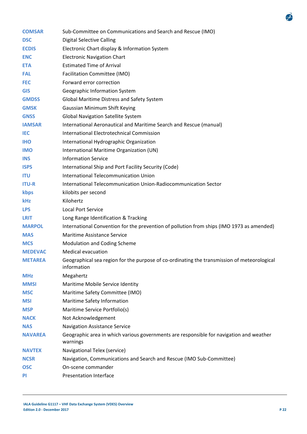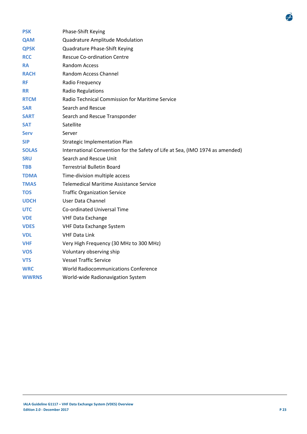| <b>PSK</b>   | Phase-Shift Keying                                                            |  |  |  |  |  |
|--------------|-------------------------------------------------------------------------------|--|--|--|--|--|
| <b>QAM</b>   | Quadrature Amplitude Modulation                                               |  |  |  |  |  |
| <b>QPSK</b>  | Quadrature Phase-Shift Keying                                                 |  |  |  |  |  |
| <b>RCC</b>   | <b>Rescue Co-ordination Centre</b>                                            |  |  |  |  |  |
| <b>RA</b>    | Random Access                                                                 |  |  |  |  |  |
| <b>RACH</b>  | <b>Random Access Channel</b>                                                  |  |  |  |  |  |
| <b>RF</b>    | Radio Frequency                                                               |  |  |  |  |  |
| <b>RR</b>    | Radio Regulations                                                             |  |  |  |  |  |
| <b>RTCM</b>  | Radio Technical Commission for Maritime Service                               |  |  |  |  |  |
| <b>SAR</b>   | Search and Rescue                                                             |  |  |  |  |  |
| <b>SART</b>  | Search and Rescue Transponder                                                 |  |  |  |  |  |
| <b>SAT</b>   | Satellite                                                                     |  |  |  |  |  |
| <b>Serv</b>  | Server                                                                        |  |  |  |  |  |
| <b>SIP</b>   | <b>Strategic Implementation Plan</b>                                          |  |  |  |  |  |
| <b>SOLAS</b> | International Convention for the Safety of Life at Sea, (IMO 1974 as amended) |  |  |  |  |  |
| <b>SRU</b>   | Search and Rescue Unit                                                        |  |  |  |  |  |
| <b>TBB</b>   | Terrestrial Bulletin Board                                                    |  |  |  |  |  |
| <b>TDMA</b>  | Time-division multiple access                                                 |  |  |  |  |  |
| <b>TMAS</b>  | <b>Telemedical Maritime Assistance Service</b>                                |  |  |  |  |  |
| <b>TOS</b>   | <b>Traffic Organization Service</b>                                           |  |  |  |  |  |
| <b>UDCH</b>  | User Data Channel                                                             |  |  |  |  |  |
| <b>UTC</b>   | Co-ordinated Universal Time                                                   |  |  |  |  |  |
| <b>VDE</b>   | <b>VHF Data Exchange</b>                                                      |  |  |  |  |  |
| <b>VDES</b>  | VHF Data Exchange System                                                      |  |  |  |  |  |
| <b>VDL</b>   | <b>VHF Data Link</b>                                                          |  |  |  |  |  |
| <b>VHF</b>   | Very High Frequency (30 MHz to 300 MHz)                                       |  |  |  |  |  |
| <b>VOS</b>   | Voluntary observing ship                                                      |  |  |  |  |  |
| <b>VTS</b>   | <b>Vessel Traffic Service</b>                                                 |  |  |  |  |  |
| <b>WRC</b>   | <b>World Radiocommunications Conference</b>                                   |  |  |  |  |  |
| <b>WWRNS</b> | World-wide Radionavigation System                                             |  |  |  |  |  |

 $\vec{r}$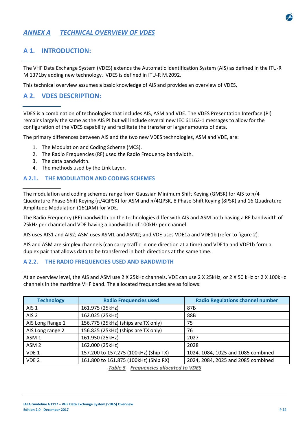

## *ANNEX A TECHNICAL OVERVIEW OF VDES*

## **A 1. INTRODUCTION:**

The VHF Data Exchange System (VDES) extends the Automatic Identification System (AIS) as defined in the ITU‐R M.1371by adding new technology. VDES is defined in ITU‐R M.2092.

This technical overview assumes a basic knowledge of AIS and provides an overview of VDES.

## **A 2. VDES DESCRIPTION:**

VDES is a combination of technologies that includes AIS, ASM and VDE. The VDES Presentation Interface (PI) remains largely the same as the AIS PI but will include several new IEC 61162-1 messages to allow for the configuration of the VDES capability and facilitate the transfer of larger amounts of data.

The primary differences between AIS and the two new VDES technologies, ASM and VDE, are:

- 1. The Modulation and Coding Scheme (MCS).
- 2. The Radio Frequencies (RF) used the Radio Frequency bandwidth.
- 3. The data bandwidth.
- 4. The methods used by the Link Layer.

#### **A 2.1. THE MODULATION AND CODING SCHEMES**

The modulation and coding schemes range from Gaussian Minimum Shift Keying (GMSK) for AIS to  $\pi/4$ Quadrature Phase‐Shift Keying (π/4QPSK) for ASM and π/4QPSK, 8 Phase‐Shift Keying (8PSK) and 16 Quadrature Amplitude Modulation (16QAM) for VDE.

The Radio Frequency (RF) bandwidth on the technologies differ with AIS and ASM both having a RF bandwidth of 25kHz per channel and VDE having a bandwidth of 100kHz per channel.

AIS uses AIS1 and AIS2; ASM uses ASM1 and ASM2; and VDE uses VDE1a and VDE1b (refer to figure 2).

AIS and ASM are simplex channels (can carry traffic in one direction at a time) and VDE1a and VDE1b form a duplex pair that allows data to be transferred in both directions at the same time.

#### **A 2.2. THE RADIO FREQUENCIES USED AND BANDWIDTH**

At an overview level, the AIS and ASM use 2 X 25kHz channels. VDE can use 2 X 25kHz; or 2 X 50 kHz or 2 X 100kHz channels in the maritime VHF band. The allocated frequencies are as follows:

| <b>Technology</b> | <b>Radio Frequencies used</b>         | <b>Radio Regulations channel number</b> |  |  |  |  |
|-------------------|---------------------------------------|-----------------------------------------|--|--|--|--|
| AIS <sub>1</sub>  | 161.975 (25kHz)                       | 87B                                     |  |  |  |  |
| AIS <sub>2</sub>  | 162.025 (25kHz)                       | 88B                                     |  |  |  |  |
| AIS Long Range 1  | 156.775 (25kHz) (ships are TX only)   | 75                                      |  |  |  |  |
| AIS Long range 2  | 156.825 (25kHz) (ships are TX only)   | 76                                      |  |  |  |  |
| ASM <sub>1</sub>  | 161.950 (25kHz)                       | 2027                                    |  |  |  |  |
| ASM <sub>2</sub>  | 162.000 (25kHz)                       | 2028                                    |  |  |  |  |
| VDE 1             | 157.200 to 157.275 (100kHz) (Ship TX) | 1024, 1084, 1025 and 1085 combined      |  |  |  |  |
| VDE <sub>2</sub>  | 161.800 to 161.875 (100kHz) (Ship RX) | 2024, 2084, 2025 and 2085 combined      |  |  |  |  |

*Table 5 Frequencies allocated to VDES*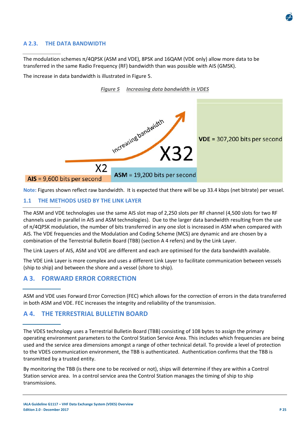

#### **A 2.3. THE DATA BANDWIDTH**

The modulation schemes π/4QPSK (ASM and VDE), 8PSK and 16QAM (VDE only) allow more data to be transferred in the same Radio Frequency (RF) bandwidth than was possible with AIS (GMSK).

The increase in data bandwidth is illustrated in Figure 5.



**Note:** Figures shown reflect raw bandwidth. It is expected that there will be up 33.4 kbps (net bitrate) per vessel.

#### **1.1 THE METHODS USED BY THE LINK LAYER**

The ASM and VDE technologies use the same AIS slot map of 2,250 slots per RF channel (4,500 slots for two RF channels used in parallel in AIS and ASM technologies). Due to the larger data bandwidth resulting from the use of π/4QPSK modulation, the number of bits transferred in any one slot is increased in ASM when compared with AIS. The VDE frequencies and the Modulation and Coding Scheme (MCS) are dynamic and are chosen by a combination of the Terrestrial Bulletin Board (TBB) (section A 4 refers) and by the Link Layer.

The Link Layers of AIS, ASM and VDE are different and each are optimised for the data bandwidth available.

The VDE Link Layer is more complex and uses a different Link Layer to facilitate communication between vessels (ship to ship) and between the shore and a vessel (shore to ship).

## **A 3. FORWARD ERROR CORRECTION**

ASM and VDE uses Forward Error Correction (FEC) which allows for the correction of errors in the data transferred in both ASM and VDE. FEC increases the integrity and reliability of the transmission.

## **A 4. THE TERRESTRIAL BULLETIN BOARD**

The VDES technology uses a Terrestrial Bulletin Board (TBB) consisting of 108 bytes to assign the primary operating environment parameters to the Control Station Service Area. This includes which frequencies are being used and the service area dimensions amongst a range of other technical detail. To provide a level of protection to the VDES communication environment, the TBB is authenticated. Authentication confirms that the TBB is transmitted by a trusted entity.

By monitoring the TBB (is there one to be received or not), ships will determine if they are within a Control Station service area. In a control service area the Control Station manages the timing of ship to ship transmissions.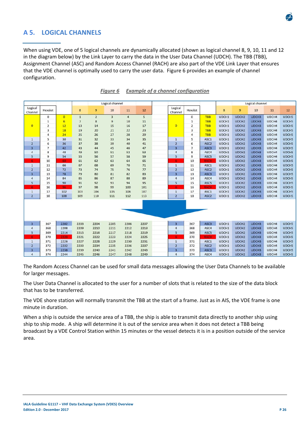

## **A 5. LOGICAL CHANNELS**

When using VDE, one of 5 logical channels are dynamically allocated (shown as logical channel 8, 9, 10, 11 and 12 in the diagram below) by the Link Layer to carry the data in the User Data Channel (UDCH). The TBB (TBB), Assignment Channel (ASC) and Random Access Channel (RACH) are also part of the VDE Link Layer that ensures that the VDE channel is optimally used to carry the user data. Figure 6 provides an example of channel configuration.

| Logical channel    |                         |                |                | Logical channel |                         |                |      |                         |                |                  |       |                   |       |       |              |
|--------------------|-------------------------|----------------|----------------|-----------------|-------------------------|----------------|------|-------------------------|----------------|------------------|-------|-------------------|-------|-------|--------------|
| Logical<br>Channel | Hexslot                 |                | 8              | 9               | 10                      | 11             | 12   | Logical<br>Channel      | Hexslot        |                  | 8     | $\overline{9}$    | 10    | 11    | 12           |
|                    | $\mathbf 0$             | $\overline{0}$ | $\mathbf{1}$   | $\overline{2}$  | $\overline{\mathbf{3}}$ | $\overline{4}$ | 5    |                         | $\circ$        | <b>TBB</b>       | UDCH1 | UDCH <sub>2</sub> | UDCH3 | UDCH4 | <b>UDCH5</b> |
|                    | 1                       | 6              | $\overline{7}$ | 8               | 9                       | 10             | 11   |                         | $\mathbf 1$    | <b>TBB</b>       | UDCH1 | UDCH <sub>2</sub> | UDCH3 | UDCH4 | UDCH5        |
| $\overline{0}$     | $\overline{\mathbf{2}}$ | 12             | 13             | 14              | 15                      | 16             | 17   | $\bullet$               | 2              | <b>TBB</b>       | UDCH1 | UDCH <sub>2</sub> | UDCH3 | UDCH4 | UDCH5        |
|                    | 3                       | 18             | 19             | 20              | 21                      | 22             | 23   |                         | 3              | <b>TBB</b>       | UDCH1 | UDCH <sub>2</sub> | UDCH3 | UDCH4 | <b>UDCH5</b> |
|                    | 4                       | 24             | 25             | 26              | 27                      | 28             | 29   |                         | 4              | <b>TBB</b>       | UDCH1 | UDCH <sub>2</sub> | UDCH3 | UDCH4 | UDCH5        |
| $\mathbf{1}$       | 5                       | 30             | 31             | 32              | 33                      | 34             | 35   | $\mathbf{1}$            | 5              | ASC1             | UDCH1 | UDCH <sub>2</sub> | UDCH3 | UDCH4 | <b>UDCH5</b> |
| $\overline{2}$     | 6                       | 36             | 37             | 38              | 39                      | 40             | 41   | $\overline{2}$          | 6              | ASC <sub>2</sub> | UDCH1 | UDCH <sub>2</sub> | UDCH3 | UDCH4 | <b>UDCH5</b> |
| 3                  | $\overline{7}$          | 42             | 43             | 44              | 45                      | 46             | 47   | $\overline{\mathbf{3}}$ | $\overline{7}$ | ASC3             | UDCH1 | UDCH <sub>2</sub> | UDCH3 | UDCH4 | <b>UDCH5</b> |
| $\overline{a}$     | 8                       | 48             | 49             | 50              | 51                      | 52             | 53   | $\overline{a}$          | 8              | ASC4             | UDCH1 | UDCH <sub>2</sub> | UDCH3 | UDCH4 | <b>UDCHS</b> |
| 5                  | 9                       | 54             | 55             | 56              | 57                      | 58             | 59   | 5                       | 9              | ASC5             | UDCH1 | UDCH <sub>2</sub> | UDCH3 | UDCH4 | UDCH5        |
| 6                  | 10                      | 60             | 61             | 62              | 63                      | 64             | 65   | 6                       | 10             | <b>RACH</b>      | UDCH1 | UDCH <sub>2</sub> | UDCH3 | UDCH4 | <b>UDCH5</b> |
| $1\,$              | 11                      | 66             | 67             | 68              | 69                      | 70             | 71   | $1\,$                   | 11             | ASC1             | UDCH1 | UDCH <sub>2</sub> | UDCH3 | UDCH4 | <b>UDCH5</b> |
| $\overline{2}$     | 12                      | 72             | 73             | 74              | 75                      | 76             | 77   | $\overline{2}$          | 12             | ASC <sub>2</sub> | UDCH1 | UDCH <sub>2</sub> | UDCH3 | UDCH4 | UDCH5        |
| 3                  | 13                      | 78             | 79             | 80              | 81                      | 82             | 83   | з                       | 13             | ASC <sub>3</sub> | UDCH1 | UDCH <sub>2</sub> | UDCH3 | UDCH4 | UDCH5        |
| $\overline{a}$     | 14                      | 84             | 85             | 86              | 87                      | 88             | 89   | $\overline{a}$          | 14             | ASC4             | UDCH1 | UDCH <sub>2</sub> | UDCH3 | UDCH4 | <b>UDCH5</b> |
| 5                  | 15                      | 90             | 91             | 92              | 93                      | 94             | 95   | 5                       | 15             | ASC5             | UDCH1 | UDCH <sub>2</sub> | UDCH3 | UDCH4 | UDCH5        |
| 6                  | 16                      | 96             | 97             | 98              | 99                      | 100            | 101  | 6                       | 16             | <b>RACH</b>      | UDCH1 | UDCH <sub>2</sub> | UDCH3 | UDCH4 | UDCH5        |
| $\mathbf{1}$       | 17                      | 102            | 103            | 104             | 105                     | 106            | 107  | $\overline{1}$          | 17             | ASC1             | UDCH1 | UDCH <sub>2</sub> | UDCH3 | UDCH4 | UDCH5        |
| $\overline{2}$     | 18                      | 108            | 109            | 110             | 111                     | 112            | 113  | $\overline{2}$          | 18             | ASC <sub>2</sub> | UDCH1 | UDCH <sub>2</sub> | UDCH3 | UDCH4 | UDCH5        |
|                    |                         |                |                |                 |                         |                |      |                         |                |                  |       |                   |       |       |              |
| 3                  | 367                     | 2202           | 2203           | 2204            | 2205                    | 2206           | 2207 | 3                       | 367            | ASC3             | UDCH1 | UDCH <sub>2</sub> | UDCH3 | UDCH4 | <b>UDCH5</b> |
| $\overline{a}$     | 368                     | 2208           | 2209           | 2210            | 2211                    | 2212           | 2213 | $\overline{a}$          | 368            | ASC4             | UDCH1 | UDCH <sub>2</sub> | UDCH3 | UDCH4 | <b>UDCH5</b> |
| 5                  | 369                     | 2214           | 2215           | 2216            | 2217                    | 2218           | 2219 | 5                       | 369            | ASC5             | UDCH1 | UDCH <sub>2</sub> | UDCH3 | UDCH4 | UDCH5        |
| 6                  | 370                     | 2220           | 2221           | 2222            | 2223                    | 2224           | 2225 | 6                       | 370            | <b>RACH</b>      | UDCH1 | UDCH <sub>2</sub> | UDCH3 | UDCH4 | <b>UDCH5</b> |
| $\mathbf{1}$       | 371                     | 2226           | 2227           | 2228            | 2229                    | 2230           | 2231 | $1\,$                   | 371            | ASC1             | UDCH1 | UDCH <sub>2</sub> | UDCH3 | UDCH4 | <b>UDCH5</b> |
| $\overline{2}$     | 372                     | 2232           | 2233           | 2234            | 2235                    | 2236           | 2237 | $\overline{2}$          | 372            | ASC <sub>2</sub> | UDCH1 | UDCH <sub>2</sub> | UDCH3 | UDCH4 | UDCH5        |
| 3                  | 373                     | 2238           | 2239           | 2240            | 2241                    | 2242           | 2243 | 3                       | 373            | ASC3             | UDCH1 | UDCH <sub>2</sub> | UDCH3 | UDCH4 | UDCH5        |
| 4                  | 374                     | 2244           | 2245           | 2246            | 2247                    | 2248           | 2249 | 4                       | 374            | ASC4             | UDCH1 | UDCH <sub>2</sub> | UDCH3 | UDCH4 | UDCH5        |

#### *Figure 6 Example of a channel configuration*

The Random Access Channel can be used for small data messages allowing the User Data Channels to be available for larger messages.

The User Data Channel is allocated to the user for a number of slots that is related to the size of the data block that has to be transferred.

The VDE shore station will normally transmit the TBB at the start of a frame. Just as in AIS, the VDE frame is one minute in duration.

When a ship is outside the service area of a TBB, the ship is able to transmit data directly to another ship using ship to ship mode. A ship will determine it is out of the service area when it does not detect a TBB being broadcast by a VDE Control Station within 15 minutes or the vessel detects it is in a position outside of the service area.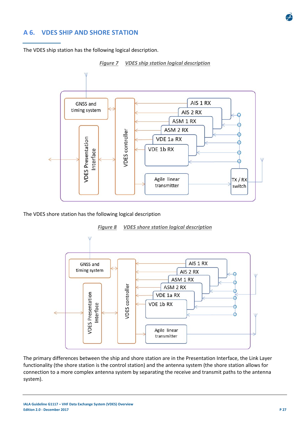

## **A 6. VDES SHIP AND SHORE STATION**

The VDES ship station has the following logical description.



*Figure 7 VDES ship station logical description* 

The VDES shore station has the following logical description



*Figure 8 VDES shore station logical description* 

The primary differences between the ship and shore station are in the Presentation Interface, the Link Layer functionality (the shore station is the control station) and the antenna system (the shore station allows for connection to a more complex antenna system by separating the receive and transmit paths to the antenna system).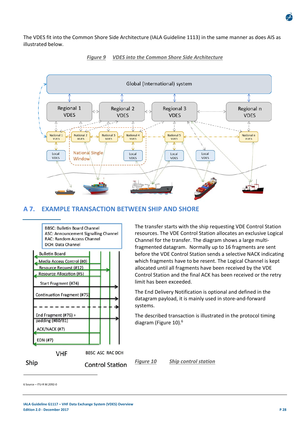The VDES fit into the Common Shore Side Architecture (IALA Guideline 1113) in the same manner as does AIS as illustrated below.





## **A 7. EXAMPLE TRANSACTION BETWEEN SHIP AND SHORE**



The transfer starts with the ship requesting VDE Control Station resources. The VDE Control Station allocates an exclusive Logical Channel for the transfer. The diagram shows a large multi‐ fragmented datagram. Normally up to 16 fragments are sent before the VDE Control Station sends a selective NACK indicating which fragments have to be resent. The Logical Channel is kept allocated until all fragments have been received by the VDE Control Station and the final ACK has been received or the retry limit has been exceeded.

The End Delivery Notification is optional and defined in the datagram payload, it is mainly used in store‐and‐forward systems.

The described transaction is illustrated in the protocol timing diagram (Figure 10).<sup>6</sup>

*Figure 10 Ship control station* 

6 Source – ITU‐R M.2092‐0